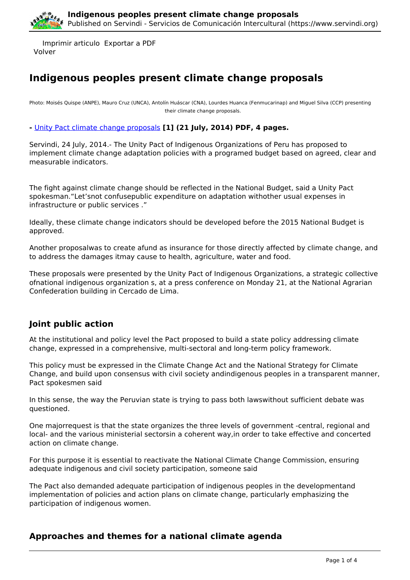

 Imprimir articulo Exportar a PDF Volver

# **Indigenous peoples present climate change proposals**

Photo: Moisés Quispe (ANPE), Mauro Cruz (UNCA), Antolín Huáscar (CNA), Lourdes Huanca (Fenmucarinap) and Miguel Silva (CCP) presenting their climate change proposals.

**-** [Unity Pact climate change proposals](https://ia902301.us.archive.org/15/items/TheUnityPact/IndigenousPeoplesProposalsonClimateChange.pdf) **[1] (21 July, 2014) PDF, 4 pages.**

Servindi, 24 July, 2014.- The Unity Pact of Indigenous Organizations of Peru has proposed to implement climate change adaptation policies with a programed budget based on agreed, clear and measurable indicators.

The fight against climate change should be reflected in the National Budget, said a Unity Pact spokesman."Let'snot confusepublic expenditure on adaptation withother usual expenses in infrastructure or public services ."

Ideally, these climate change indicators should be developed before the 2015 National Budget is approved.

Another proposalwas to create afund as insurance for those directly affected by climate change, and to address the damages itmay cause to health, agriculture, water and food.

These proposals were presented by the Unity Pact of Indigenous Organizations, a strategic collective ofnational indigenous organization s, at a press conference on Monday 21, at the National Agrarian Confederation building in Cercado de Lima.

## **Joint public action**

At the institutional and policy level the Pact proposed to build a state policy addressing climate change, expressed in a comprehensive, multi-sectoral and long-term policy framework.

This policy must be expressed in the Climate Change Act and the National Strategy for Climate Change, and build upon consensus with civil society andindigenous peoples in a transparent manner, Pact spokesmen said

In this sense, the way the Peruvian state is trying to pass both lawswithout sufficient debate was questioned.

One majorrequest is that the state organizes the three levels of government -central, regional and local- and the various ministerial sectorsin a coherent way,in order to take effective and concerted action on climate change.

For this purpose it is essential to reactivate the National Climate Change Commission, ensuring adequate indigenous and civil society participation, someone said

The Pact also demanded adequate participation of indigenous peoples in the developmentand implementation of policies and action plans on climate change, particularly emphasizing the participation of indigenous women.

## **Approaches and themes for a national climate agenda**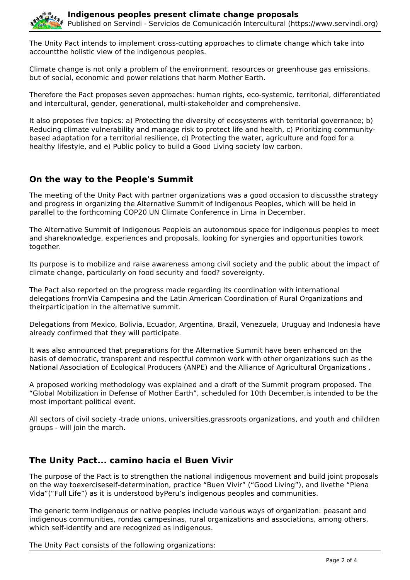

The Unity Pact intends to implement cross-cutting approaches to climate change which take into accountthe holistic view of the indigenous peoples.

Climate change is not only a problem of the environment, resources or greenhouse gas emissions, but of social, economic and power relations that harm Mother Earth.

Therefore the Pact proposes seven approaches: human rights, eco-systemic, territorial, differentiated and intercultural, gender, generational, multi-stakeholder and comprehensive.

It also proposes five topics: a) Protecting the diversity of ecosystems with territorial governance; b) Reducing climate vulnerability and manage risk to protect life and health, c) Prioritizing communitybased adaptation for a territorial resilience, d) Protecting the water, agriculture and food for a healthy lifestyle, and e) Public policy to build a Good Living society low carbon.

## **On the way to the People's Summit**

The meeting of the Unity Pact with partner organizations was a good occasion to discussthe strategy and progress in organizing the Alternative Summit of Indigenous Peoples, which will be held in parallel to the forthcoming COP20 UN Climate Conference in Lima in December.

The Alternative Summit of Indigenous Peopleis an autonomous space for indigenous peoples to meet and shareknowledge, experiences and proposals, looking for synergies and opportunities towork together.

Its purpose is to mobilize and raise awareness among civil society and the public about the impact of climate change, particularly on food security and food? sovereignty.

The Pact also reported on the progress made regarding its coordination with international delegations fromVia Campesina and the Latin American Coordination of Rural Organizations and theirparticipation in the alternative summit.

Delegations from Mexico, Bolivia, Ecuador, Argentina, Brazil, Venezuela, Uruguay and Indonesia have already confirmed that they will participate.

It was also announced that preparations for the Alternative Summit have been enhanced on the basis of democratic, transparent and respectful common work with other organizations such as the National Association of Ecological Producers (ANPE) and the Alliance of Agricultural Organizations .

A proposed working methodology was explained and a draft of the Summit program proposed. The "Global Mobilization in Defense of Mother Earth", scheduled for 10th December,is intended to be the most important political event.

All sectors of civil society -trade unions, universities,grassroots organizations, and youth and children groups - will join the march.

## **The Unity Pact... camino hacia el Buen Vivir**

The purpose of the Pact is to strengthen the national indigenous movement and build joint proposals on the way toexerciseself-determination, practice "Buen Vivir" ("Good Living"), and livethe "Plena Vida"("Full Life") as it is understood byPeru's indigenous peoples and communities.

The generic term indigenous or native peoples include various ways of organization: peasant and indigenous communities, rondas campesinas, rural organizations and associations, among others, which self-identify and are recognized as indigenous.

The Unity Pact consists of the following organizations: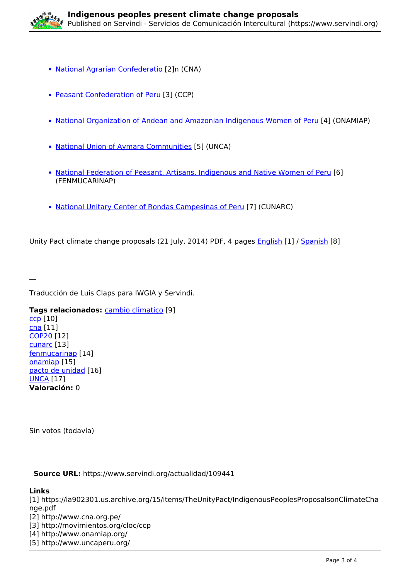

- [National Agrarian Confederatio](http://www.cna.org.pe/) [2]n (CNA)
- [Peasant Confederation of Peru](http://movimientos.org/cloc/ccp) [3] (CCP)
- [National Organization of Andean and Amazonian Indigenous Women of Peru](http://www.onamiap.org/) [4] (ONAMIAP)
- [National Union of Aymara Communities](http://www.uncaperu.org/) [5] (UNCA)
- [National Federation of Peasant, Artisans, Indigenous and Native Women of Peru](http://femucarinap.org/) [6] (FENMUCARINAP)
- [National Unitary Center of Rondas Campesinas of Peru](http://cunarcperu.org/) [7] (CUNARC)

Unity Pact climate change proposals (21 July, 2014) PDF, 4 pages [English](https://ia902301.us.archive.org/15/items/TheUnityPact/IndigenousPeoplesProposalsonClimateChange.pdf) [1] / [Spanish](https://ia902304.us.archive.org/19/items/PUPropuestaCC21jul2014/PU_PropuestaCC_21jul2014.pdf) [8]

Traducción de Luis Claps para IWGIA y Servindi.

**Tags relacionados:** [cambio climatico](https://www.servindi.org/etiqueta/cambio-climatico) [9]

[ccp](https://www.servindi.org/etiqueta/ccp) [10] [cna](https://www.servindi.org/etiqueta/cna) [11] [COP20](https://www.servindi.org/etiqueta/cop20) [12] [cunarc](https://www.servindi.org/etiqueta/cunarc) [13] [fenmucarinap](https://www.servindi.org/etiqueta/fenmucarinap) [14] [onamiap](https://www.servindi.org/etiqueta/onamiap) [15] [pacto de unidad](https://www.servindi.org/etiqueta/pacto-de-unidad) [16] [UNCA](https://www.servindi.org/etiqueta/unca) [17] **Valoración:** 0

Sin votos (todavía)

**Source URL:** https://www.servindi.org/actualidad/109441

### **Links**

 $\overline{\phantom{a}}$ 

[1] https://ia902301.us.archive.org/15/items/TheUnityPact/IndigenousPeoplesProposalsonClimateCha nge.pdf [2] http://www.cna.org.pe/ [3] http://movimientos.org/cloc/ccp [4] http://www.onamiap.org/

[5] http://www.uncaperu.org/